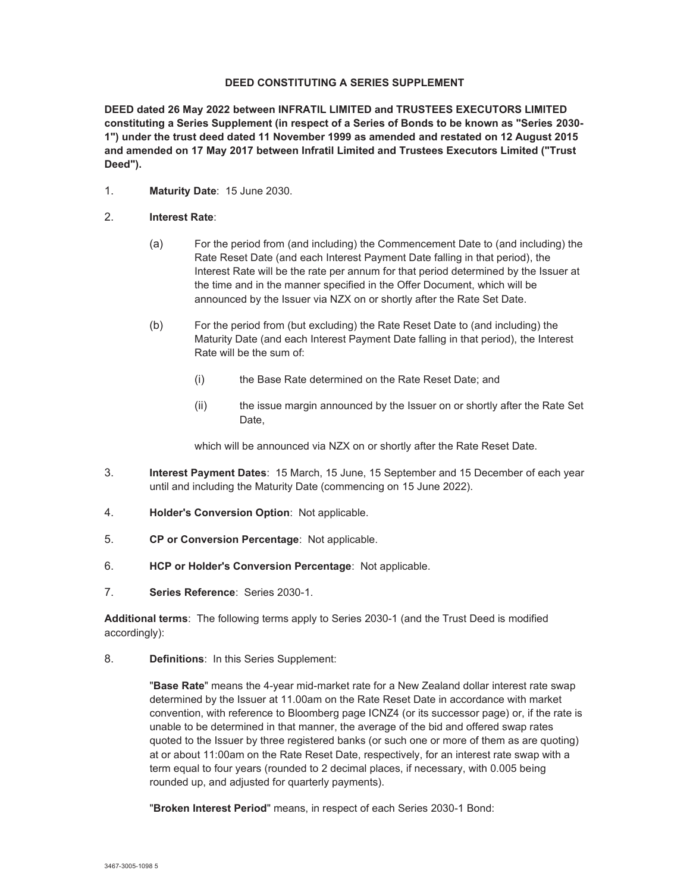### **DEED CONSTITUTING A SERIES SUPPLEMENT**

**DEED dated 26 May 2022 between INFRATIL LIMITED and TRUSTEES EXECUTORS LIMITED constituting a Series Supplement (in respect of a Series of Bonds to be known as "Series 2030- 1") under the trust deed dated 11 November 1999 as amended and restated on 12 August 2015 and amended on 17 May 2017 between Infratil Limited and Trustees Executors Limited ("Trust Deed").** 

- 1. **Maturity Date**: 15 June 2030.
- 2. **Interest Rate**:
	- (a) For the period from (and including) the Commencement Date to (and including) the Rate Reset Date (and each Interest Payment Date falling in that period), the Interest Rate will be the rate per annum for that period determined by the Issuer at the time and in the manner specified in the Offer Document, which will be announced by the Issuer via NZX on or shortly after the Rate Set Date.
	- (b) For the period from (but excluding) the Rate Reset Date to (and including) the Maturity Date (and each Interest Payment Date falling in that period), the Interest Rate will be the sum of:
		- (i) the Base Rate determined on the Rate Reset Date; and
		- (ii) the issue margin announced by the Issuer on or shortly after the Rate Set Date,

which will be announced via NZX on or shortly after the Rate Reset Date.

- 3. **Interest Payment Dates**: 15 March, 15 June, 15 September and 15 December of each year until and including the Maturity Date (commencing on 15 June 2022).
- 4. **Holder's Conversion Option**: Not applicable.
- 5. **CP or Conversion Percentage**: Not applicable.
- 6. **HCP or Holder's Conversion Percentage**: Not applicable.
- 7. **Series Reference**: Series 2030-1.

**Additional terms**: The following terms apply to Series 2030-1 (and the Trust Deed is modified accordingly):

8. **Definitions**: In this Series Supplement:

"**Base Rate**" means the 4-year mid-market rate for a New Zealand dollar interest rate swap determined by the Issuer at 11.00am on the Rate Reset Date in accordance with market convention, with reference to Bloomberg page ICNZ4 (or its successor page) or, if the rate is unable to be determined in that manner, the average of the bid and offered swap rates quoted to the Issuer by three registered banks (or such one or more of them as are quoting) at or about 11:00am on the Rate Reset Date, respectively, for an interest rate swap with a term equal to four years (rounded to 2 decimal places, if necessary, with 0.005 being rounded up, and adjusted for quarterly payments).

"**Broken Interest Period**" means, in respect of each Series 2030-1 Bond: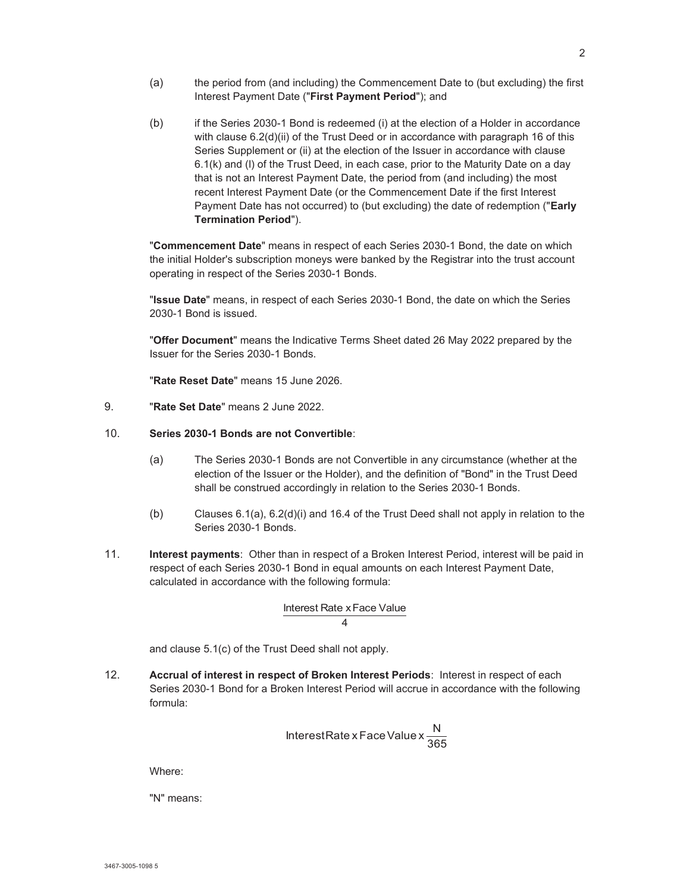- (a) the period from (and including) the Commencement Date to (but excluding) the first Interest Payment Date ("**First Payment Period**"); and
- (b) if the Series 2030-1 Bond is redeemed (i) at the election of a Holder in accordance with clause 6.2(d)(ii) of the Trust Deed or in accordance with paragraph 16 of this Series Supplement or (ii) at the election of the Issuer in accordance with clause 6.1(k) and (l) of the Trust Deed, in each case, prior to the Maturity Date on a day that is not an Interest Payment Date, the period from (and including) the most recent Interest Payment Date (or the Commencement Date if the first Interest Payment Date has not occurred) to (but excluding) the date of redemption ("**Early Termination Period**").

"**Commencement Date**" means in respect of each Series 2030-1 Bond, the date on which the initial Holder's subscription moneys were banked by the Registrar into the trust account operating in respect of the Series 2030-1 Bonds.

"**Issue Date**" means, in respect of each Series 2030-1 Bond, the date on which the Series 2030-1 Bond is issued.

"**Offer Document**" means the Indicative Terms Sheet dated 26 May 2022 prepared by the Issuer for the Series 2030-1 Bonds.

"**Rate Reset Date**" means 15 June 2026.

9. "**Rate Set Date**" means 2 June 2022.

## 10. **Series 2030-1 Bonds are not Convertible**:

- (a) The Series 2030-1 Bonds are not Convertible in any circumstance (whether at the election of the Issuer or the Holder), and the definition of "Bond" in the Trust Deed shall be construed accordingly in relation to the Series 2030-1 Bonds.
- (b) Clauses 6.1(a), 6.2(d)(i) and 16.4 of the Trust Deed shall not apply in relation to the Series 2030-1 Bonds.
- 11. **Interest payments**: Other than in respect of a Broken Interest Period, interest will be paid in respect of each Series 2030-1 Bond in equal amounts on each Interest Payment Date, calculated in accordance with the following formula:

#### 4 Interest Rate x Face Value

and clause 5.1(c) of the Trust Deed shall not apply.

12. **Accrual of interest in respect of Broken Interest Periods**: Interest in respect of each Series 2030-1 Bond for a Broken Interest Period will accrue in accordance with the following formula:

$$
InterestRate x Face Value x \frac{N}{365}
$$

Where:

"N" means: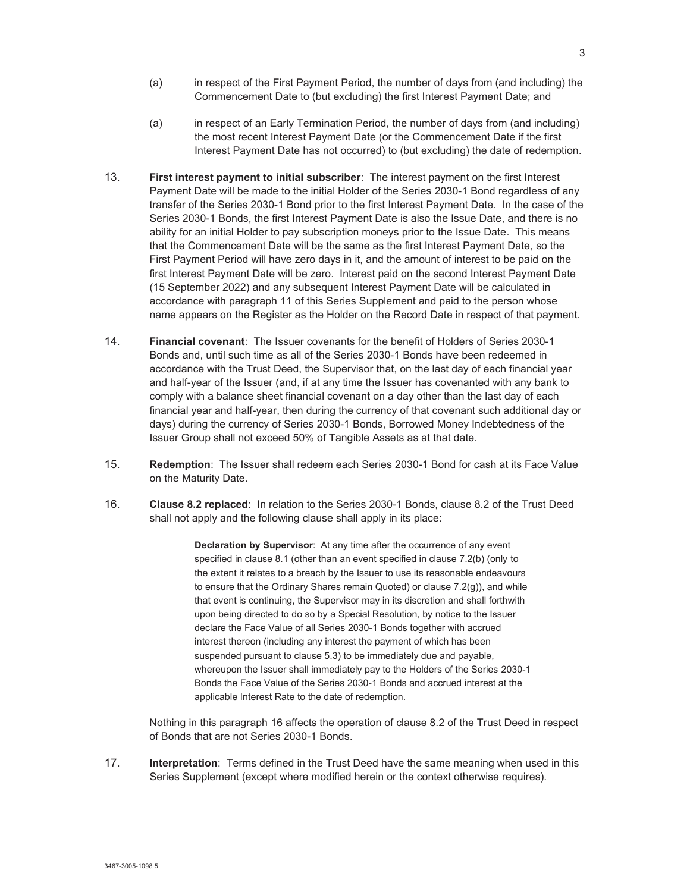- (a) in respect of the First Payment Period, the number of days from (and including) the Commencement Date to (but excluding) the first Interest Payment Date; and
- (a) in respect of an Early Termination Period, the number of days from (and including) the most recent Interest Payment Date (or the Commencement Date if the first Interest Payment Date has not occurred) to (but excluding) the date of redemption.
- 13. **First interest payment to initial subscriber**: The interest payment on the first Interest Payment Date will be made to the initial Holder of the Series 2030-1 Bond regardless of any transfer of the Series 2030-1 Bond prior to the first Interest Payment Date. In the case of the Series 2030-1 Bonds, the first Interest Payment Date is also the Issue Date, and there is no ability for an initial Holder to pay subscription moneys prior to the Issue Date. This means that the Commencement Date will be the same as the first Interest Payment Date, so the First Payment Period will have zero days in it, and the amount of interest to be paid on the first Interest Payment Date will be zero. Interest paid on the second Interest Payment Date (15 September 2022) and any subsequent Interest Payment Date will be calculated in accordance with paragraph 11 of this Series Supplement and paid to the person whose name appears on the Register as the Holder on the Record Date in respect of that payment.
- 14. **Financial covenant**: The Issuer covenants for the benefit of Holders of Series 2030-1 Bonds and, until such time as all of the Series 2030-1 Bonds have been redeemed in accordance with the Trust Deed, the Supervisor that, on the last day of each financial year and half-year of the Issuer (and, if at any time the Issuer has covenanted with any bank to comply with a balance sheet financial covenant on a day other than the last day of each financial year and half-year, then during the currency of that covenant such additional day or days) during the currency of Series 2030-1 Bonds, Borrowed Money Indebtedness of the Issuer Group shall not exceed 50% of Tangible Assets as at that date.
- 15. **Redemption**: The Issuer shall redeem each Series 2030-1 Bond for cash at its Face Value on the Maturity Date.
- 16. **Clause 8.2 replaced**: In relation to the Series 2030-1 Bonds, clause 8.2 of the Trust Deed shall not apply and the following clause shall apply in its place:

**Declaration by Supervisor**: At any time after the occurrence of any event specified in clause 8.1 (other than an event specified in clause 7.2(b) (only to the extent it relates to a breach by the Issuer to use its reasonable endeavours to ensure that the Ordinary Shares remain Quoted) or clause 7.2(g)), and while that event is continuing, the Supervisor may in its discretion and shall forthwith upon being directed to do so by a Special Resolution, by notice to the Issuer declare the Face Value of all Series 2030-1 Bonds together with accrued interest thereon (including any interest the payment of which has been suspended pursuant to clause 5.3) to be immediately due and payable, whereupon the Issuer shall immediately pay to the Holders of the Series 2030-1 Bonds the Face Value of the Series 2030-1 Bonds and accrued interest at the applicable Interest Rate to the date of redemption.

Nothing in this paragraph 16 affects the operation of clause 8.2 of the Trust Deed in respect of Bonds that are not Series 2030-1 Bonds.

17. **Interpretation**: Terms defined in the Trust Deed have the same meaning when used in this Series Supplement (except where modified herein or the context otherwise requires).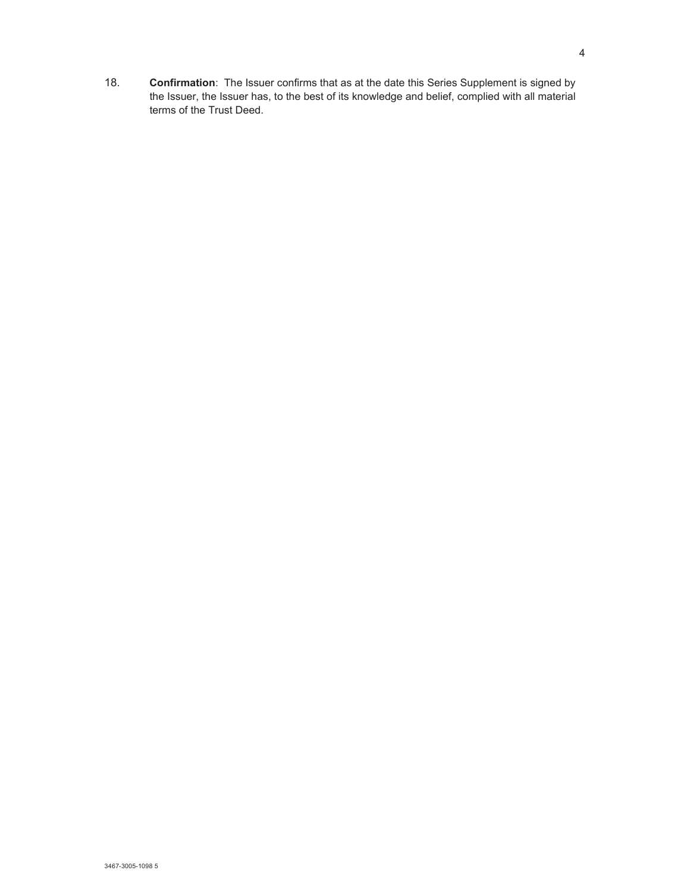18. **Confirmation**: The Issuer confirms that as at the date this Series Supplement is signed by the Issuer, the Issuer has, to the best of its knowledge and belief, complied with all material terms of the Trust Deed.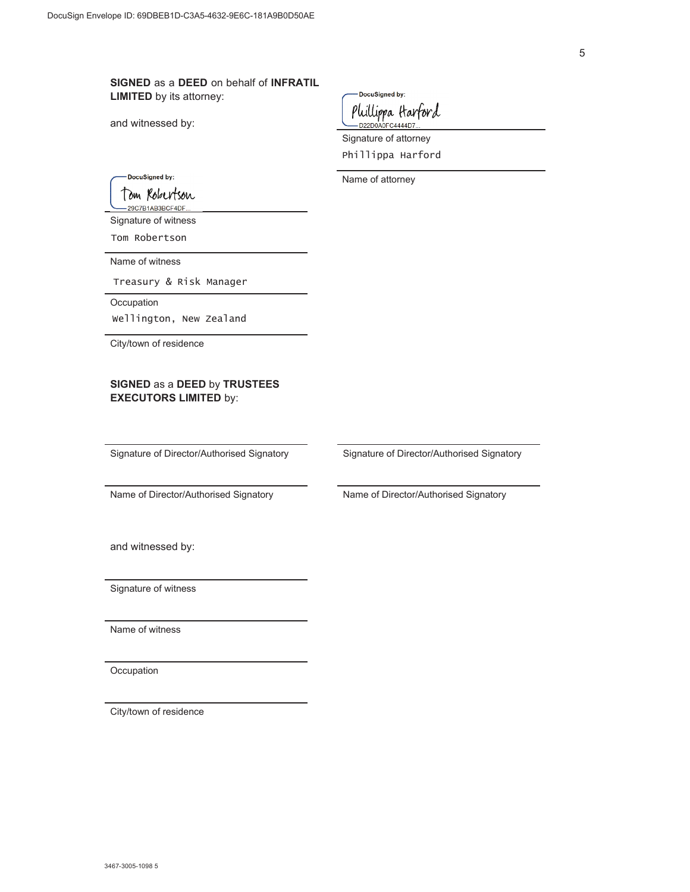**SIGNED** as a **DEED** on behalf of **INFRATIL LIMITED** by its attorney:

and witnessed by:

DocuSigned by: Phillippa Harford

Signature of attorney Phillippa Harford

Name of attorney

DocuSigned by:

Tom Robertson

29C7B1AB3BCF4DF. Signature of witness

Tom Robertson

Name of witness

Treasury & Risk Manager

**Occupation** 

wellington, New Zealand

City/town of residence

## **SIGNED** as a **DEED** by **TRUSTEES EXECUTORS LIMITED** by:

Signature of Director/Authorised Signatory Signature of Director/Authorised Signatory

Name of Director/Authorised Signatory Name of Director/Authorised Signatory

and witnessed by:

Signature of witness

Name of witness

**Occupation** 

City/town of residence